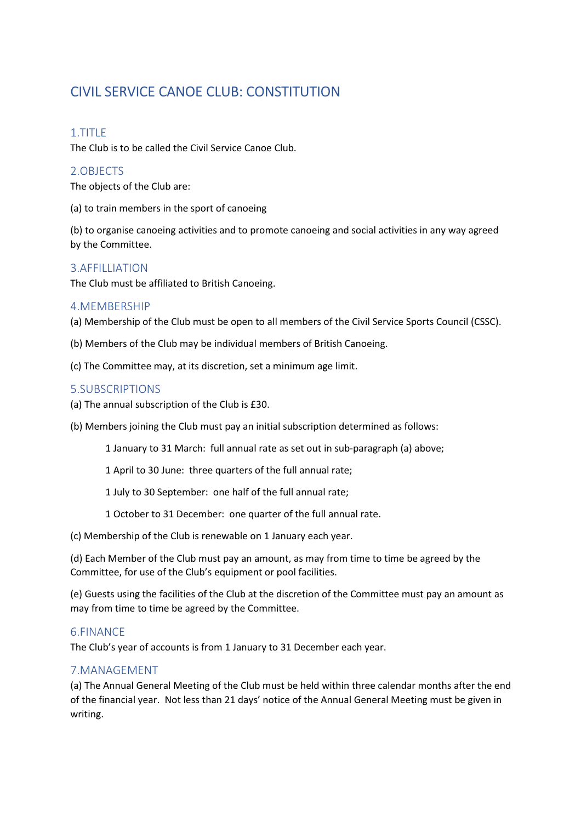# CIVIL SERVICE CANOE CLUB: CONSTITUTION

# 1.TITLE

The Club is to be called the Civil Service Canoe Club.

# 2.OBJECTS

The objects of the Club are:

(a) to train members in the sport of canoeing

(b) to organise canoeing activities and to promote canoeing and social activities in any way agreed by the Committee.

# 3.AFFILLIATION

The Club must be affiliated to British Canoeing.

### 4.MEMBERSHIP

(a) Membership of the Club must be open to all members of the Civil Service Sports Council (CSSC).

- (b) Members of the Club may be individual members of British Canoeing.
- (c) The Committee may, at its discretion, set a minimum age limit.

# 5.SUBSCRIPTIONS

- (a) The annual subscription of the Club is £30.
- (b) Members joining the Club must pay an initial subscription determined as follows:
	- 1 January to 31 March: full annual rate as set out in sub-paragraph (a) above;
	- 1 April to 30 June: three quarters of the full annual rate;
	- 1 July to 30 September: one half of the full annual rate;
	- 1 October to 31 December: one quarter of the full annual rate.
- (c) Membership of the Club is renewable on 1 January each year.

(d) Each Member of the Club must pay an amount, as may from time to time be agreed by the Committee, for use of the Club's equipment or pool facilities.

(e) Guests using the facilities of the Club at the discretion of the Committee must pay an amount as may from time to time be agreed by the Committee.

### 6.FINANCE

The Club's year of accounts is from 1 January to 31 December each year.

# 7.MANAGEMENT

(a) The Annual General Meeting of the Club must be held within three calendar months after the end of the financial year. Not less than 21 days' notice of the Annual General Meeting must be given in writing.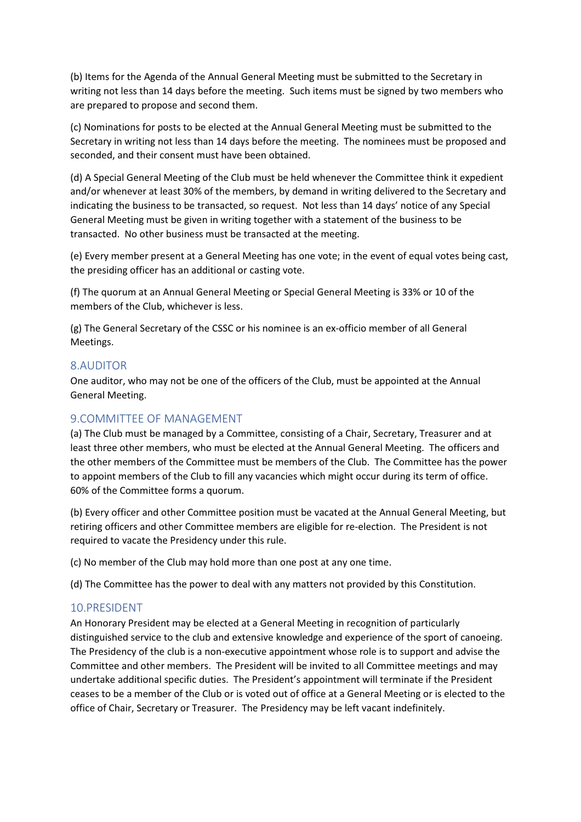(b) Items for the Agenda of the Annual General Meeting must be submitted to the Secretary in writing not less than 14 days before the meeting. Such items must be signed by two members who are prepared to propose and second them.

(c) Nominations for posts to be elected at the Annual General Meeting must be submitted to the Secretary in writing not less than 14 days before the meeting. The nominees must be proposed and seconded, and their consent must have been obtained.

(d) A Special General Meeting of the Club must be held whenever the Committee think it expedient and/or whenever at least 30% of the members, by demand in writing delivered to the Secretary and indicating the business to be transacted, so request. Not less than 14 days' notice of any Special General Meeting must be given in writing together with a statement of the business to be transacted. No other business must be transacted at the meeting.

(e) Every member present at a General Meeting has one vote; in the event of equal votes being cast, the presiding officer has an additional or casting vote.

(f) The quorum at an Annual General Meeting or Special General Meeting is 33% or 10 of the members of the Club, whichever is less.

(g) The General Secretary of the CSSC or his nominee is an ex-officio member of all General Meetings.

#### 8.AUDITOR

One auditor, who may not be one of the officers of the Club, must be appointed at the Annual General Meeting.

# 9.COMMITTEE OF MANAGEMENT

(a) The Club must be managed by a Committee, consisting of a Chair, Secretary, Treasurer and at least three other members, who must be elected at the Annual General Meeting. The officers and the other members of the Committee must be members of the Club. The Committee has the power to appoint members of the Club to fill any vacancies which might occur during its term of office. 60% of the Committee forms a quorum.

(b) Every officer and other Committee position must be vacated at the Annual General Meeting, but retiring officers and other Committee members are eligible for re-election. The President is not required to vacate the Presidency under this rule.

(c) No member of the Club may hold more than one post at any one time.

(d) The Committee has the power to deal with any matters not provided by this Constitution.

### 10.PRESIDENT

An Honorary President may be elected at a General Meeting in recognition of particularly distinguished service to the club and extensive knowledge and experience of the sport of canoeing. The Presidency of the club is a non-executive appointment whose role is to support and advise the Committee and other members. The President will be invited to all Committee meetings and may undertake additional specific duties. The President's appointment will terminate if the President ceases to be a member of the Club or is voted out of office at a General Meeting or is elected to the office of Chair, Secretary or Treasurer. The Presidency may be left vacant indefinitely.